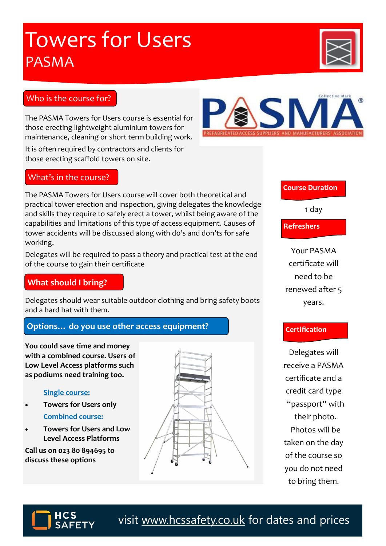visit [www.hcssafety.co.uk](http://www.hcssafety.co.uk/training) for dates and prices

## **Towers for Users** PASMA

## Who is the course for?

The PASMA Towers for Users course is essential for those erecting lightweight aluminium towers for maintenance, cleaning or short term building work.

It is often required by contractors and clients for those erecting scaffold towers on site.

## What's in the course?

The PASMA Towers for Users course will cover both theoretical and practical tower erection and inspection, giving delegates the knowledge and skills they require to safely erect a tower, whilst being aware of the capabilities and limitations of this type of access equipment. Causes of tower accidents will be discussed along with do's and don'ts for safe working.

Delegates will be required to pass a theory and practical test at the end of the course to gain their certificate

### **What should I bring?**

Delegates should wear suitable outdoor clothing and bring safety boots and a hard hat with them.

## **Options… do you use other access equipment?**

**You could save time and money with a combined course. Users of Low Level Access platforms such as podiums need training too.** 

#### **Single course:**

- **Towers for Users only Combined course:**
- **Towers for Users and Low Level Access Platforms**

**Call us on 023 80 894695 to discuss these options**

Delegates will receive a PASMA certificate and a credit card type "passport" with their photo. Photos will be taken on the day of the course so you do not need to bring them.

**Course Duration**

1 day

**Refreshers**

Your PASMA certificate will need to be renewed after 5 years.

#### **Certification**

SN